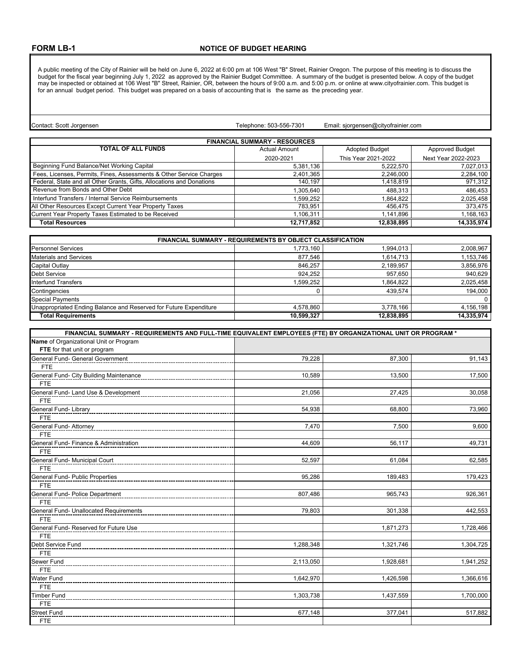A public meeting of the City of Rainier will be held on June 6, 2022 at 6:00 pm at 106 West "B" Street, Rainier Oregon. The purpose of this meeting is to discuss the budget for the fiscal year beginning July 1, 2022 as approved by the Rainier Budget Committee. A summary of the budget is presented below. A copy of the budget may be inspected or obtained at 106 West "B" Street, Rainier, OR, between the hours of 9:00 a.m. and 5:00 p.m. or online at www.cityofrainier.com. This budget is for an annual budget period. This budget was prepared on a basis of accounting that is the same as the preceding year.

Telephone: 503-556-7301

Contact: Scott Jorgensen Email: sjorgensen@cityofrainier.com

| <b>FINANCIAL SUMMARY - RESOURCES</b>                                  |               |                       |                        |
|-----------------------------------------------------------------------|---------------|-----------------------|------------------------|
| <b>TOTAL OF ALL FUNDS</b>                                             | Actual Amount | <b>Adopted Budget</b> | <b>Approved Budget</b> |
|                                                                       | 2020-2021     | This Year 2021-2022   | Next Year 2022-2023    |
| Beginning Fund Balance/Net Working Capital                            | 5,381,136     | 5,222,570             | 7,027,013              |
| Fees, Licenses, Permits, Fines, Assessments & Other Service Charges   | 2,401,365     | 2,246,000             | 2,284,100              |
| Federal, State and all Other Grants, Gifts, Allocations and Donations | 140.197       | 1,418,819             | 971,312                |
| Revenue from Bonds and Other Debt                                     | .305.640      | 488.313               | 486,453                |
| Interfund Transfers / Internal Service Reimbursements                 | .599.252      | 864,822.              | 2,025,458              |
| All Other Resources Except Current Year Property Taxes                | 783.951       | 456.475               | 373,475                |
| Current Year Property Taxes Estimated to be Received                  | 1.106.311     | 1.141.896             | 1,168,163              |
| <b>Total Resources</b>                                                | 12.717.852    | 12.838.895            | 14.335.974             |

| <b>FINANCIAL SUMMARY - REQUIREMENTS BY OBJECT CLASSIFICATION</b>  |            |            |            |
|-------------------------------------------------------------------|------------|------------|------------|
| <b>Personnel Services</b>                                         | 1.773.160  | 1.994.013  | 2,008,967  |
| <b>Materials and Services</b>                                     | 877.546    | 1,614,713  | 1,153,746  |
| Capital Outlay                                                    | 846.257    | 2,189,957  | 3,856,976  |
| <b>Debt Service</b>                                               | 924.252    | 957.650    | 940.629    |
| Interfund Transfers                                               | 1.599.252  | 1.864.822  | 2,025,458  |
| Contingencies                                                     |            | 439.574    | 194,000    |
| <b>Special Payments</b>                                           |            |            | $\Omega$   |
| Unappropriated Ending Balance and Reserved for Future Expenditure | 4.578.860  | 3.778.166  | 4,156,198  |
| <b>Total Requirements</b>                                         | 10,599,327 | 12.838.895 | 14.335.974 |

| FINANCIAL SUMMARY - REQUIREMENTS AND FULL-TIME EQUIVALENT EMPLOYEES (FTE) BY ORGANIZATIONAL UNIT OR PROGRAM * |           |           |           |
|---------------------------------------------------------------------------------------------------------------|-----------|-----------|-----------|
| Name of Organizational Unit or Program                                                                        |           |           |           |
| FTE for that unit or program                                                                                  |           |           |           |
| General Fund- General Government                                                                              | 79,228    | 87,300    | 91,143    |
| <b>FTE</b>                                                                                                    |           |           |           |
| General Fund- City Building Maintenance                                                                       | 10,589    | 13,500    | 17,500    |
| <b>FTE</b>                                                                                                    |           |           |           |
| General Fund- Land Use & Development                                                                          | 21,056    | 27,425    | 30,058    |
| <b>FTE</b>                                                                                                    |           |           |           |
| General Fund- Library                                                                                         | 54,938    | 68,800    | 73,960    |
| <b>FTE</b>                                                                                                    |           |           |           |
| General Fund- Attorney                                                                                        | 7,470     | 7.500     | 9,600     |
| <b>FTE</b>                                                                                                    |           |           |           |
| General Fund- Finance & Administration                                                                        | 44,609    | 56,117    | 49,731    |
| <b>FTE</b>                                                                                                    |           |           |           |
| General Fund- Municipal Court                                                                                 | 52,597    | 61,084    | 62,585    |
| <b>FTE</b>                                                                                                    |           |           |           |
| General Fund- Public Properties                                                                               | 95,286    | 189,483   | 179,423   |
| <b>FTE</b>                                                                                                    |           |           |           |
| General Fund- Police Department                                                                               | 807,486   | 965,743   | 926,361   |
| <b>FTE</b>                                                                                                    |           |           |           |
| General Fund- Unallocated Requirements                                                                        | 79,803    | 301,338   | 442,553   |
| <b>FTE</b>                                                                                                    |           |           |           |
| General Fund- Reserved for Future Use                                                                         |           | 1,871,273 | 1,728,466 |
| <b>FTE</b>                                                                                                    |           |           |           |
| Debt Service Fund                                                                                             | 1,288,348 | 1,321,746 | 1,304,725 |
| <b>FTE</b>                                                                                                    |           |           |           |
| Sewer Fund                                                                                                    | 2,113,050 | 1,928,681 | 1,941,252 |
| <b>FTE</b>                                                                                                    |           |           |           |
| <b>Water Fund</b>                                                                                             | 1,642,970 | 1,426,598 | 1,366,616 |
| <b>FTE</b>                                                                                                    |           |           |           |
| <b>Timber Fund</b>                                                                                            | 1,303,738 | 1,437,559 | 1,700,000 |
| <b>FTE</b>                                                                                                    |           |           |           |
| <b>Street Fund</b>                                                                                            | 677,148   | 377,041   | 517,882   |
| <b>FTE</b>                                                                                                    |           |           |           |